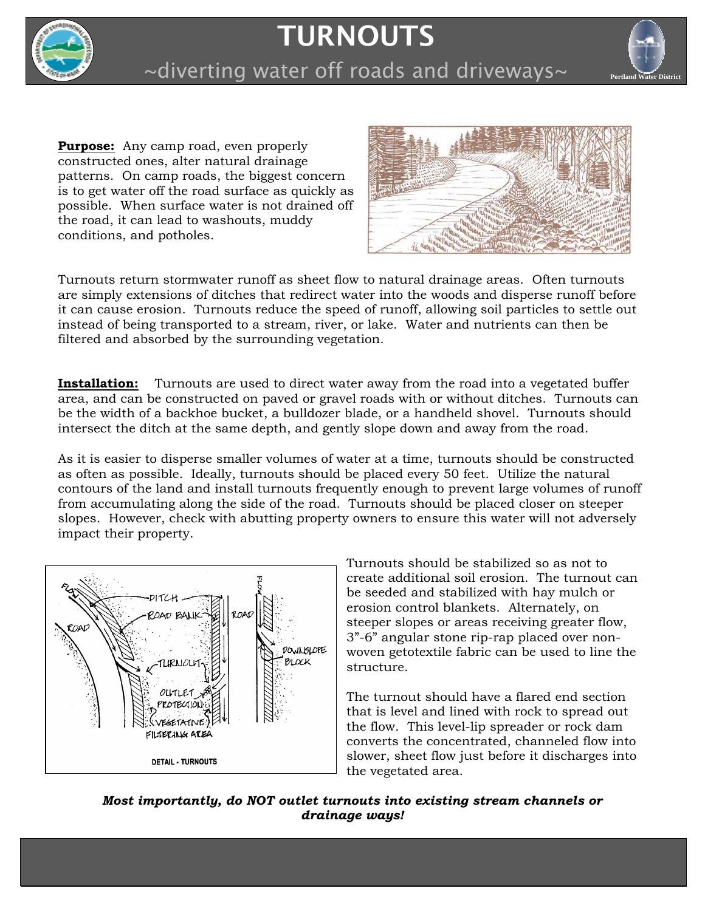

## **TURNOUTS**



~diverting water off roads and driveways~

**Purpose:** Any camp road, even properly constructed ones, alter natural drainage patterns. On camp roads, the biggest concern is to get water off the road surface as quickly as possible. When surface water is not drained off the road, it can lead to washouts, muddy conditions, and potholes.



Turnouts return stormwater runoff as sheet flow to natural drainage areas. Often turnouts are simply extensions of ditches that redirect water into the woods and disperse runoff before it can cause erosion. Turnouts reduce the speed of runoff, allowing soil particles to settle out instead of being transported to a stream, river, or lake. Water and nutrients can then be filtered and absorbed by the surrounding vegetation.

**Installation:** Turnouts are used to direct water away from the road into a vegetated buffer area, and can be constructed on paved or gravel roads with or without ditches. Turnouts can be the width of a backhoe bucket, a bulldozer blade, or a handheld shovel. Turnouts should intersect the ditch at the same depth, and gently slope down and away from the road.

As it is easier to disperse smaller volumes of water at a time, turnouts should be constructed as often as possible. Ideally, turnouts should be placed every 50 feet. Utilize the natural contours of the land and install turnouts frequently enough to prevent large volumes of runoff from accumulating along the side of the road. Turnouts should be placed closer on steeper slopes. However, check with abutting property owners to ensure this water will not adversely impact their property.



Turnouts should be stabilized so as not to create additional soil erosion. The turnout can be seeded and stabilized with hay mulch or erosion control blankets. Alternately, on steeper slopes or areas receiving greater flow, 3"-6" angular stone rip-rap placed over nonwoven getotextile fabric can be used to line the structure.

The turnout should have a flared end section that is level and lined with rock to spread out the flow. This level-lip spreader or rock dam converts the concentrated, channeled flow into slower, sheet flow just before it discharges into the vegetated area.

*Most importantly, do NOT outlet turnouts into existing stream channels or drainage ways!*